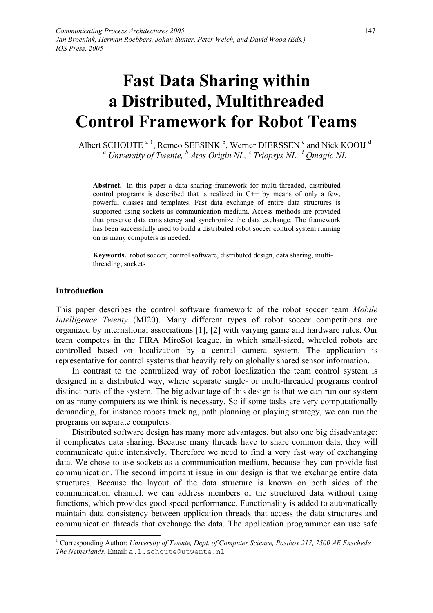# **Fast Data Sharing within a Distributed, Multithreaded Control Framework for Robot Teams**

Albert SCHOUTE  $a^{-1}$ , Remco SEESINK  $b$ , Werner DIERSSEN  $c$  and Niek KOOIJ  $d$ <sup>*a*</sup> University of Twente, <sup>*b*</sup> Atos Origin NL, <sup>*c*</sup> Triopsys NL, <sup>*d*</sup> Qmagic NL</sup>

**Abstract.** In this paper a data sharing framework for multi-threaded, distributed control programs is described that is realized in C++ by means of only a few, powerful classes and templates. Fast data exchange of entire data structures is supported using sockets as communication medium. Access methods are provided that preserve data consistency and synchronize the data exchange. The framework has been successfully used to build a distributed robot soccer control system running on as many computers as needed.

**Keywords.** robot soccer, control software, distributed design, data sharing, multithreading, sockets

#### **Introduction**

This paper describes the control software framework of the robot soccer team *Mobile Intelligence Twenty* (MI20). Many different types of robot soccer competitions are organized by international associations [1], [2] with varying game and hardware rules. Our team competes in the FIRA MiroSot league, in which small-sized, wheeled robots are controlled based on localization by a central camera system. The application is representative for control systems that heavily rely on globally shared sensor information.

In contrast to the centralized way of robot localization the team control system is designed in a distributed way, where separate single- or multi-threaded programs control distinct parts of the system. The big advantage of this design is that we can run our system on as many computers as we think is necessary. So if some tasks are very computationally demanding, for instance robots tracking, path planning or playing strategy, we can run the programs on separate computers.

Distributed software design has many more advantages, but also one big disadvantage: it complicates data sharing. Because many threads have to share common data, they will communicate quite intensively. Therefore we need to find a very fast way of exchanging data. We chose to use sockets as a communication medium, because they can provide fast communication. The second important issue in our design is that we exchange entire data structures. Because the layout of the data structure is known on both sides of the communication channel, we can address members of the structured data without using functions, which provides good speed performance. Functionality is added to automatically maintain data consistency between application threads that access the data structures and communication threads that exchange the data. The application programmer can use safe

 1 Corresponding Author: *University of Twente, Dept. of Computer Science, Postbox 217, 7500 AE Enschede The Netherlands*, Email: a.l.schoute@utwente.nl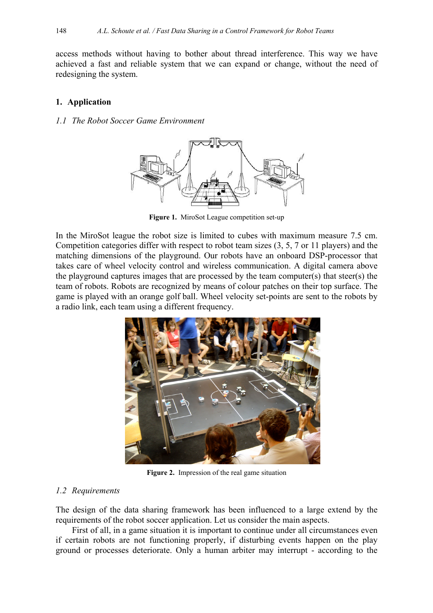access methods without having to bother about thread interference. This way we have achieved a fast and reliable system that we can expand or change, without the need of redesigning the system.

# **1. Application**

### *1.1 The Robot Soccer Game Environment*



Figure 1. MiroSot League competition set-up

In the MiroSot league the robot size is limited to cubes with maximum measure 7.5 cm. Competition categories differ with respect to robot team sizes (3, 5, 7 or 11 players) and the matching dimensions of the playground. Our robots have an onboard DSP-processor that takes care of wheel velocity control and wireless communication. A digital camera above the playground captures images that are processed by the team computer(s) that steer(s) the team of robots. Robots are recognized by means of colour patches on their top surface. The game is played with an orange golf ball. Wheel velocity set-points are sent to the robots by a radio link, each team using a different frequency.



**Figure 2.** Impression of the real game situation

## *1.2 Requirements*

The design of the data sharing framework has been influenced to a large extend by the requirements of the robot soccer application. Let us consider the main aspects.

First of all, in a game situation it is important to continue under all circumstances even if certain robots are not functioning properly, if disturbing events happen on the play ground or processes deteriorate. Only a human arbiter may interrupt - according to the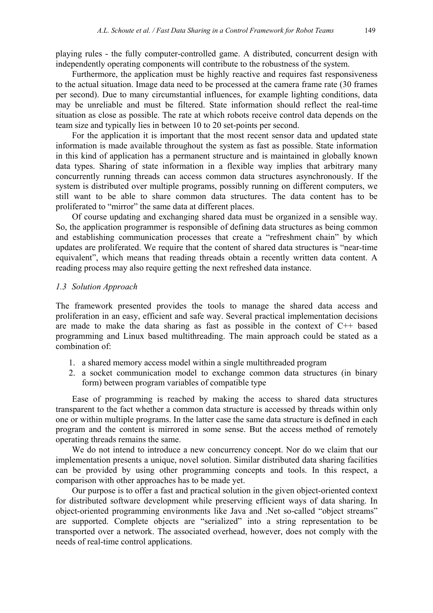playing rules - the fully computer-controlled game. A distributed, concurrent design with independently operating components will contribute to the robustness of the system.

Furthermore, the application must be highly reactive and requires fast responsiveness to the actual situation. Image data need to be processed at the camera frame rate (30 frames per second). Due to many circumstantial influences, for example lighting conditions, data may be unreliable and must be filtered. State information should reflect the real-time situation as close as possible. The rate at which robots receive control data depends on the team size and typically lies in between 10 to 20 set-points per second.

For the application it is important that the most recent sensor data and updated state information is made available throughout the system as fast as possible. State information in this kind of application has a permanent structure and is maintained in globally known data types. Sharing of state information in a flexible way implies that arbitrary many concurrently running threads can access common data structures asynchronously. If the system is distributed over multiple programs, possibly running on different computers, we still want to be able to share common data structures. The data content has to be proliferated to "mirror" the same data at different places.

Of course updating and exchanging shared data must be organized in a sensible way. So, the application programmer is responsible of defining data structures as being common and establishing communication processes that create a "refreshment chain" by which updates are proliferated. We require that the content of shared data structures is "near-time equivalent", which means that reading threads obtain a recently written data content. A reading process may also require getting the next refreshed data instance.

#### *1.3 Solution Approach*

The framework presented provides the tools to manage the shared data access and proliferation in an easy, efficient and safe way. Several practical implementation decisions are made to make the data sharing as fast as possible in the context of  $C++$  based programming and Linux based multithreading. The main approach could be stated as a combination of:

- 1. a shared memory access model within a single multithreaded program
- 2. a socket communication model to exchange common data structures (in binary form) between program variables of compatible type

Ease of programming is reached by making the access to shared data structures transparent to the fact whether a common data structure is accessed by threads within only one or within multiple programs. In the latter case the same data structure is defined in each program and the content is mirrored in some sense. But the access method of remotely operating threads remains the same.

We do not intend to introduce a new concurrency concept. Nor do we claim that our implementation presents a unique, novel solution. Similar distributed data sharing facilities can be provided by using other programming concepts and tools. In this respect, a comparison with other approaches has to be made yet.

Our purpose is to offer a fast and practical solution in the given object-oriented context for distributed software development while preserving efficient ways of data sharing. In object-oriented programming environments like Java and .Net so-called "object streams" are supported. Complete objects are "serialized" into a string representation to be transported over a network. The associated overhead, however, does not comply with the needs of real-time control applications.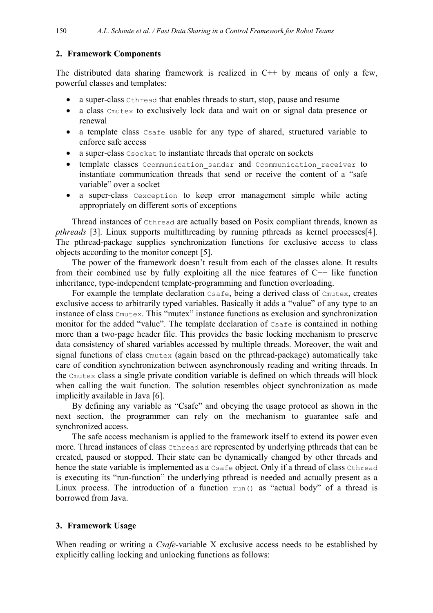#### **2. Framework Components**

The distributed data sharing framework is realized in C++ by means of only a few, powerful classes and templates:

- a super-class cthread that enables threads to start, stop, pause and resume
- a class Cmutex to exclusively lock data and wait on or signal data presence or renewal
- a template class  $\csc s$  a step usable for any type of shared, structured variable to enforce safe access
- a super-class Csocket to instantiate threads that operate on sockets
- template classes Ccommunication sender and Ccommunication receiver to instantiate communication threads that send or receive the content of a "safe variable" over a socket
- a super-class Cexception to keep error management simple while acting appropriately on different sorts of exceptions

Thread instances of Cthread are actually based on Posix compliant threads, known as *pthreads* [3]. Linux supports multithreading by running pthreads as kernel processes[4]. The pthread-package supplies synchronization functions for exclusive access to class objects according to the monitor concept [5].

The power of the framework doesn't result from each of the classes alone. It results from their combined use by fully exploiting all the nice features of  $C^{++}$  like function inheritance, type-independent template-programming and function overloading.

For example the template declaration Csafe, being a derived class of Cmutex, creates exclusive access to arbitrarily typed variables. Basically it adds a "value" of any type to an instance of class Cmutex. This "mutex" instance functions as exclusion and synchronization monitor for the added "value". The template declaration of Csafe is contained in nothing more than a two-page header file. This provides the basic locking mechanism to preserve data consistency of shared variables accessed by multiple threads. Moreover, the wait and signal functions of class Cmutex (again based on the pthread-package) automatically take care of condition synchronization between asynchronously reading and writing threads. In the Cmutex class a single private condition variable is defined on which threads will block when calling the wait function. The solution resembles object synchronization as made implicitly available in Java [6].

By defining any variable as "Csafe" and obeying the usage protocol as shown in the next section, the programmer can rely on the mechanism to guarantee safe and synchronized access.

The safe access mechanism is applied to the framework itself to extend its power even more. Thread instances of class Cthread are represented by underlying pthreads that can be created, paused or stopped. Their state can be dynamically changed by other threads and hence the state variable is implemented as a Csafe object. Only if a thread of class Cthread is executing its "run-function" the underlying pthread is needed and actually present as a Linux process. The introduction of a function  $run()$  as "actual body" of a thread is borrowed from Java.

## **3. Framework Usage**

When reading or writing a *Csafe*-variable X exclusive access needs to be established by explicitly calling locking and unlocking functions as follows: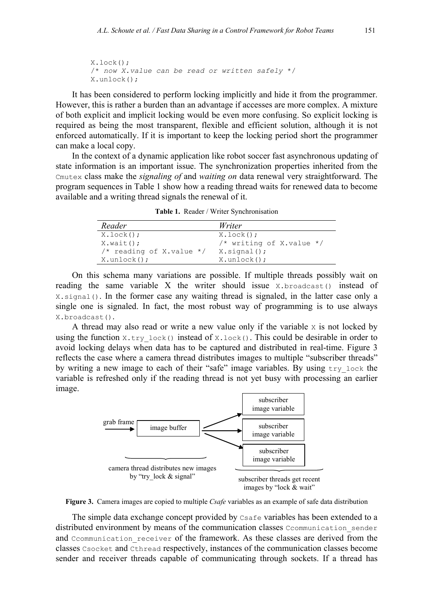```
 X.lock(); 
 /* now X.value can be read or written safely */ 
 X.unlock();
```
It has been considered to perform locking implicitly and hide it from the programmer. However, this is rather a burden than an advantage if accesses are more complex. A mixture of both explicit and implicit locking would be even more confusing. So explicit locking is required as being the most transparent, flexible and efficient solution, although it is not enforced automatically. If it is important to keep the locking period short the programmer can make a local copy.

In the context of a dynamic application like robot soccer fast asynchronous updating of state information is an important issue. The synchronization properties inherited from the Cmutex class make the *signaling of* and *waiting on* data renewal very straightforward. The program sequences in Table 1 show how a reading thread waits for renewed data to become available and a writing thread signals the renewal of it.

| Reader                       | Writer                       |
|------------------------------|------------------------------|
| $X.dock()$ ;                 | $X.lock()$ ;                 |
| $X$ .wait $()$ ;             | $/*$ writing of X.value $*/$ |
| $/*$ reading of X.value $*/$ | $X.\sigma$ iqnal $()$ ;      |
| $X.$ unlock $()$ ;           | $X.$ unlock $()$ ;           |

**Table 1.** Reader / Writer Synchronisation

On this schema many variations are possible. If multiple threads possibly wait on reading the same variable X the writer should issue X.broadcast() instead of X.signal(). In the former case any waiting thread is signaled, in the latter case only a single one is signaled. In fact, the most robust way of programming is to use always X.broadcast().

A thread may also read or write a new value only if the variable  $x$  is not locked by using the function  $X.try$  lock() instead of  $X.$  lock(). This could be desirable in order to avoid locking delays when data has to be captured and distributed in real-time. Figure 3 reflects the case where a camera thread distributes images to multiple "subscriber threads" by writing a new image to each of their "safe" image variables. By using try\_lock the variable is refreshed only if the reading thread is not yet busy with processing an earlier image.



**Figure 3.** Camera images are copied to multiple *Csafe* variables as an example of safe data distribution

The simple data exchange concept provided by Csafe variables has been extended to a distributed environment by means of the communication classes Ccommunication sender and Ccommunication receiver of the framework. As these classes are derived from the classes Csocket and Cthread respectively, instances of the communication classes become sender and receiver threads capable of communicating through sockets. If a thread has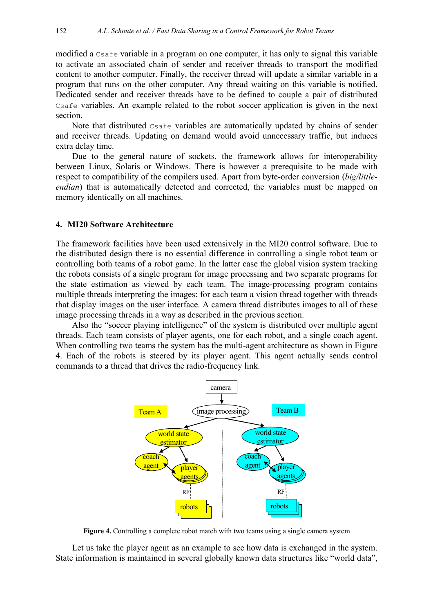modified a Csafe variable in a program on one computer, it has only to signal this variable to activate an associated chain of sender and receiver threads to transport the modified content to another computer. Finally, the receiver thread will update a similar variable in a program that runs on the other computer. Any thread waiting on this variable is notified. Dedicated sender and receiver threads have to be defined to couple a pair of distributed Csafe variables. An example related to the robot soccer application is given in the next section.

Note that distributed Csafe variables are automatically updated by chains of sender and receiver threads. Updating on demand would avoid unnecessary traffic, but induces extra delay time.

Due to the general nature of sockets, the framework allows for interoperability between Linux, Solaris or Windows. There is however a prerequisite to be made with respect to compatibility of the compilers used. Apart from byte-order conversion (*big/littleendian*) that is automatically detected and corrected, the variables must be mapped on memory identically on all machines.

#### **4. MI20 Software Architecture**

The framework facilities have been used extensively in the MI20 control software. Due to the distributed design there is no essential difference in controlling a single robot team or controlling both teams of a robot game. In the latter case the global vision system tracking the robots consists of a single program for image processing and two separate programs for the state estimation as viewed by each team. The image-processing program contains multiple threads interpreting the images: for each team a vision thread together with threads that display images on the user interface. A camera thread distributes images to all of these image processing threads in a way as described in the previous section.

Also the "soccer playing intelligence" of the system is distributed over multiple agent threads. Each team consists of player agents, one for each robot, and a single coach agent. When controlling two teams the system has the multi-agent architecture as shown in Figure 4. Each of the robots is steered by its player agent. This agent actually sends control commands to a thread that drives the radio-frequency link.



**Figure 4.** Controlling a complete robot match with two teams using a single camera system

Let us take the player agent as an example to see how data is exchanged in the system. State information is maintained in several globally known data structures like "world data",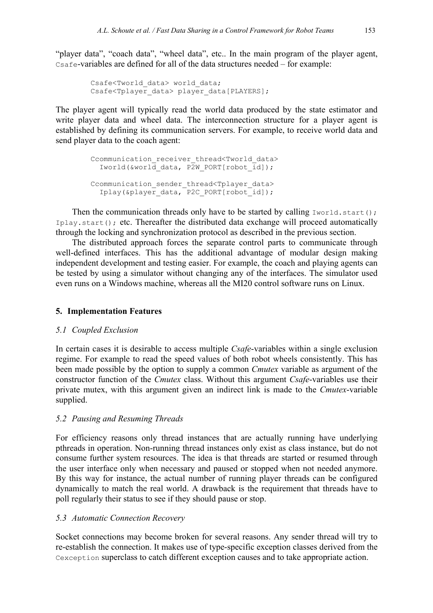"player data", "coach data", "wheel data", etc.. In the main program of the player agent, Csafe-variables are defined for all of the data structures needed – for example:

```
Csafe<Tworld data> world data;
 Csafe<Tplayer_data> player_data[PLAYERS];
```
The player agent will typically read the world data produced by the state estimator and write player data and wheel data. The interconnection structure for a player agent is established by defining its communication servers. For example, to receive world data and send player data to the coach agent:

```
Ccommunication receiver thread<Tworld data>
  Iworld(&world data, P2W PORT[robot id]);
Ccommunication sender thread<Tplayer data>
  Iplay(&player_data, P2C_PORT[robot_id]);
```
Then the communication threads only have to be started by calling  $Iworld.start()$ ; Iplay.start(); etc. Thereafter the distributed data exchange will proceed automatically through the locking and synchronization protocol as described in the previous section.

The distributed approach forces the separate control parts to communicate through well-defined interfaces. This has the additional advantage of modular design making independent development and testing easier. For example, the coach and playing agents can be tested by using a simulator without changing any of the interfaces. The simulator used even runs on a Windows machine, whereas all the MI20 control software runs on Linux.

# **5. Implementation Features**

# *5.1 Coupled Exclusion*

In certain cases it is desirable to access multiple *Csafe*-variables within a single exclusion regime. For example to read the speed values of both robot wheels consistently. This has been made possible by the option to supply a common *Cmutex* variable as argument of the constructor function of the *Cmutex* class. Without this argument *Csafe*-variables use their private mutex, with this argument given an indirect link is made to the *Cmutex*-variable supplied.

# *5.2 Pausing and Resuming Threads*

For efficiency reasons only thread instances that are actually running have underlying pthreads in operation. Non-running thread instances only exist as class instance, but do not consume further system resources. The idea is that threads are started or resumed through the user interface only when necessary and paused or stopped when not needed anymore. By this way for instance, the actual number of running player threads can be configured dynamically to match the real world. A drawback is the requirement that threads have to poll regularly their status to see if they should pause or stop.

## *5.3 Automatic Connection Recovery*

Socket connections may become broken for several reasons. Any sender thread will try to re-establish the connection. It makes use of type-specific exception classes derived from the Cexception superclass to catch different exception causes and to take appropriate action.